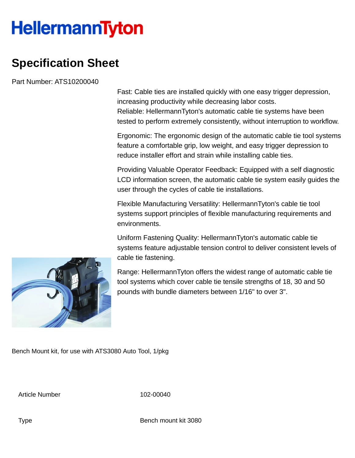## **HellermannTyton**

## **Specification Sheet**

Part Number: ATS10200040

Fast: Cable ties are installed quickly with one easy trigger depression, increasing productivity while decreasing labor costs. Reliable: HellermannTyton's automatic cable tie systems have been tested to perform extremely consistently, without interruption to workflow.

Ergonomic: The ergonomic design of the automatic cable tie tool systems feature a comfortable grip, low weight, and easy trigger depression to reduce installer effort and strain while installing cable ties.

Providing Valuable Operator Feedback: Equipped with a self diagnostic LCD information screen, the automatic cable tie system easily guides the user through the cycles of cable tie installations.

Flexible Manufacturing Versatility: HellermannTyton's cable tie tool systems support principles of flexible manufacturing requirements and environments.

Uniform Fastening Quality: HellermannTyton's automatic cable tie systems feature adjustable tension control to deliver consistent levels of cable tie fastening.

Range: HellermannTyton offers the widest range of automatic cable tie tool systems which cover cable tie tensile strengths of 18, 30 and 50 pounds with bundle diameters between 1/16" to over 3".

Bench Mount kit, for use with ATS3080 Auto Tool, 1/pkg

Article Number 102-00040

Type Bench mount kit 3080

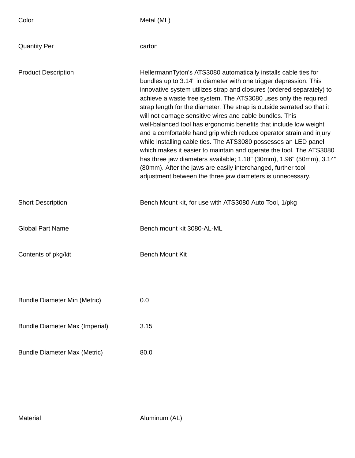| Color                                 | Metal (ML)                                                                                                                                                                                                                                                                                                                                                                                                                                                                                                                                                                                                                                                                                                                                                                                                                                                                                                         |
|---------------------------------------|--------------------------------------------------------------------------------------------------------------------------------------------------------------------------------------------------------------------------------------------------------------------------------------------------------------------------------------------------------------------------------------------------------------------------------------------------------------------------------------------------------------------------------------------------------------------------------------------------------------------------------------------------------------------------------------------------------------------------------------------------------------------------------------------------------------------------------------------------------------------------------------------------------------------|
| <b>Quantity Per</b>                   | carton                                                                                                                                                                                                                                                                                                                                                                                                                                                                                                                                                                                                                                                                                                                                                                                                                                                                                                             |
| <b>Product Description</b>            | HellermannTyton's ATS3080 automatically installs cable ties for<br>bundles up to 3.14" in diameter with one trigger depression. This<br>innovative system utilizes strap and closures (ordered separately) to<br>achieve a waste free system. The ATS3080 uses only the required<br>strap length for the diameter. The strap is outside serrated so that it<br>will not damage sensitive wires and cable bundles. This<br>well-balanced tool has ergonomic benefits that include low weight<br>and a comfortable hand grip which reduce operator strain and injury<br>while installing cable ties. The ATS3080 possesses an LED panel<br>which makes it easier to maintain and operate the tool. The ATS3080<br>has three jaw diameters available; 1.18" (30mm), 1.96" (50mm), 3.14"<br>(80mm). After the jaws are easily interchanged, further tool<br>adjustment between the three jaw diameters is unnecessary. |
| <b>Short Description</b>              | Bench Mount kit, for use with ATS3080 Auto Tool, 1/pkg                                                                                                                                                                                                                                                                                                                                                                                                                                                                                                                                                                                                                                                                                                                                                                                                                                                             |
| <b>Global Part Name</b>               | Bench mount kit 3080-AL-ML                                                                                                                                                                                                                                                                                                                                                                                                                                                                                                                                                                                                                                                                                                                                                                                                                                                                                         |
| Contents of pkg/kit                   | <b>Bench Mount Kit</b>                                                                                                                                                                                                                                                                                                                                                                                                                                                                                                                                                                                                                                                                                                                                                                                                                                                                                             |
|                                       |                                                                                                                                                                                                                                                                                                                                                                                                                                                                                                                                                                                                                                                                                                                                                                                                                                                                                                                    |
| <b>Bundle Diameter Min (Metric)</b>   | 0.0                                                                                                                                                                                                                                                                                                                                                                                                                                                                                                                                                                                                                                                                                                                                                                                                                                                                                                                |
| <b>Bundle Diameter Max (Imperial)</b> | 3.15                                                                                                                                                                                                                                                                                                                                                                                                                                                                                                                                                                                                                                                                                                                                                                                                                                                                                                               |
| <b>Bundle Diameter Max (Metric)</b>   | 80.0                                                                                                                                                                                                                                                                                                                                                                                                                                                                                                                                                                                                                                                                                                                                                                                                                                                                                                               |